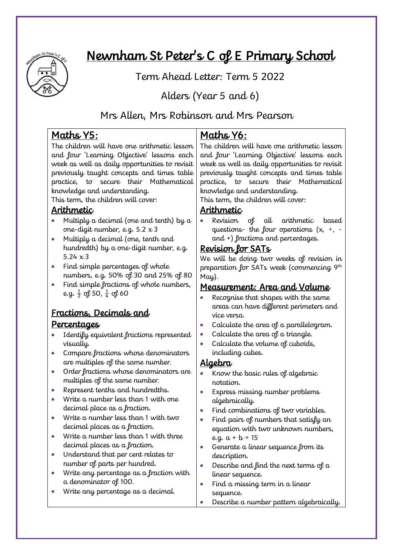

# Newnham St Peter's C of E Primary School

Term Ahead Letter: Term 5 2022

# Alders (Year 5 and 6)

## Mrs Allen, Mrs Robinson and Mrs Pearson

## Maths Y5:

The children will have one arithmetic lesson and four 'Learning Objective' lessons each week as well as daily opportunities to revisit previously taught concepts and times table practice, to secure their Mathematical knowledge and understanding.

This term, the children will cover:

## Arithmetic

- Multiply a decimal (one and tenth) by a one-digit number, e.g.  $5.2 \times 3$
- Multiply a decimal (one, tenth and hundredth) by a one-digit number, e.g. 5.24  $\times$  3
- Find simple percentages of whole numbers, e.g. 50% of 30 and 25% of 80
- Find simple fractions of whole numbers, e.g.  $\frac{1}{2}$  of 50,  $\frac{1}{4}$  of 60

# Fractions, Decimals and

### Percentages

- Identify equivalent fractions represented visually.
- Compare fractions whose denominators are multiples of the same number.
- Order fractions whose denominators are multiples of the same number.
- Represent tenths and hundredths.
- Write a number less than 1 with one decimal place as a fraction.
- Write a number less than 1 with two decimal places as a fraction.
- Write a number less than 1 with three decimal places as a fraction.
- Understand that per cent relates to number of parts per hundred.
- Write any percentage as a fraction with a denominator of 100.
- Write any percentage as a decimal.

## Maths Y6:

The children will have one arithmetic lesson and four 'Learning Objective' lessons each week as well as daily opportunities to revisit previously taught concepts and times table practice, to secure their Mathematical knowledge and understanding.

This term, the children will cover:

### Arithmetic

• Revision of all arithmetic based questions- the four operations  $(x, \div, -)$ and +) fractions and percentages.

## Revision for SATs

We will be doing two weeks of revision in preparation for SATs week (commencing 9<sup>th</sup> May).

### Measurement: Area and Volume

- Recognise that shapes with the same areas can have different perimeters and vice versa.
- Calculate the area of a parallelogram.
- Calculate the area of a triangle.
- Calculate the volume of cuboids, including cubes.

## Algebra

- Know the basic rules of algebraic notation.
- Express missing number problems algebraically.
- Find combinations of two variables.
- Find pairs of numbers that satisfy an equation with two unknown numbers, e.g.  $a + b = 15$
- Generate a linear sequence from its description.
- Describe and find the next terms of a linear sequence.
- Find a missing term in a linear sequence.
- Describe a number pattern algebraically.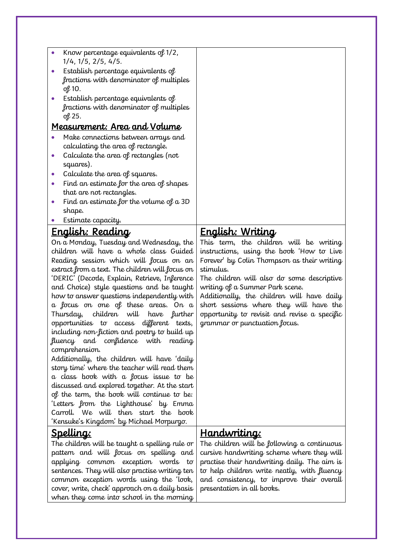| $\bullet$                          | Know percentage equivalents of 1/2,                                            |                                                                                         |
|------------------------------------|--------------------------------------------------------------------------------|-----------------------------------------------------------------------------------------|
|                                    | 1/4, 1/5, 2/5, 4/5.                                                            |                                                                                         |
|                                    | Establish percentage equivalents of                                            |                                                                                         |
|                                    | fractions with denominator of multiples                                        |                                                                                         |
|                                    | of 10.                                                                         |                                                                                         |
| $\bullet$                          | Establish percentage equivalents of                                            |                                                                                         |
|                                    | fractions with denominator of multiples                                        |                                                                                         |
|                                    | of 25.                                                                         |                                                                                         |
|                                    | Measurement: Area and Volume                                                   |                                                                                         |
| $\bullet$                          | Make connections between arrays and                                            |                                                                                         |
|                                    | calculating the area of rectangle.                                             |                                                                                         |
| $\bullet$                          | Calculate the area of rectangles (not                                          |                                                                                         |
|                                    | squares).                                                                      |                                                                                         |
| $\bullet$                          | Calculate the area of squares.                                                 |                                                                                         |
| $\bullet$                          | Find an estimate for the area of shapes                                        |                                                                                         |
|                                    | that are not rectangles.                                                       |                                                                                         |
| $\bullet$                          | Find an estimate for the volume of $a$ 3D                                      |                                                                                         |
|                                    | shape.                                                                         |                                                                                         |
| $\bullet$                          | Estimate capacity.                                                             |                                                                                         |
|                                    | <u> English: Reading</u>                                                       | <u>English: Writing</u>                                                                 |
|                                    | On a Monday, Tuesday and Wednesday, the                                        | This term, the children will be writing                                                 |
|                                    | children will have a whole class Guided                                        | instructions, using the book 'How to Live                                               |
|                                    | Reading session which will focus on an                                         | Forever' by Colin Thompson as their writing                                             |
|                                    | extract from a text. The children will focus on                                | stimulus.                                                                               |
|                                    | 'DERIC' (Decode, Explain, Retrieve, Inference                                  | The children will also do some descriptive                                              |
|                                    | and Choice) style questions and be taught                                      | writing of a Summer Park scene.                                                         |
|                                    | how to answer questions independently with                                     | Additionally, the children will have daily                                              |
|                                    | a focus on one of these areas. On a<br>children will have further<br>Thursday, | short sessions where they will have the<br>opportunity to revisit and revise a specific |
|                                    | opportunities to access different texts,                                       | grammar or punctuation focus.                                                           |
|                                    | including non-fiction and poetry to build up                                   |                                                                                         |
|                                    | fluency and confidence with<br>reading                                         |                                                                                         |
|                                    | comprehension.                                                                 |                                                                                         |
|                                    | Additionally, the children will have 'daily                                    |                                                                                         |
|                                    | story time' where the teacher will read them                                   |                                                                                         |
|                                    | a class book with a focus issue to be                                          |                                                                                         |
|                                    | discussed and explored together. At the start                                  |                                                                                         |
|                                    | of the term, the book will continue to be:                                     |                                                                                         |
|                                    | 'Letters from the Lighthouse' by Emma                                          |                                                                                         |
|                                    | Carroll. We will then start the book                                           |                                                                                         |
|                                    | 'Kensuke's Kingdom' by Michael Morpurgo.                                       |                                                                                         |
|                                    | Spelling:                                                                      | <u>Handwriting:</u>                                                                     |
|                                    | The children will be taught a spelling rule or                                 | The children will be following a continuous                                             |
|                                    | pattern and will focus on spelling and                                         | cursive handwriting scheme where they will                                              |
| applying common exception words to |                                                                                | practise their handwriting daily. The aim is                                            |
|                                    | sentences. They will also practise writing ten                                 | to help children write neatly, with fluency                                             |
|                                    | common exception words using the 'look,                                        | and consistency, to improve their overall                                               |
|                                    | cover, write, check' approach on a daily basis                                 | presentation in all books.                                                              |
|                                    | when they come into school in the morning                                      |                                                                                         |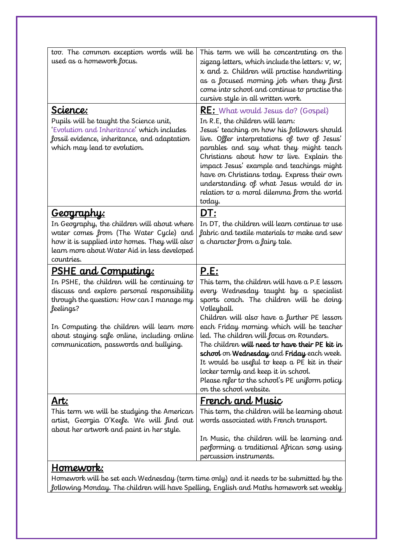| too. The common exception words will be<br>used as a homework focus.<br>Science:                                                                                                                                          | This term we will be concentrating on the<br>zigzag letters, which include the letters: $v$ , $w$ ,<br>$x$ and $z$ . Children will practise handwriting<br>as a focused morning job when they first<br>come into school and continue to practise the<br>cursive style in all written work.<br><b>RE:</b> What would Jesus do? (Gospel)                                                                                |
|---------------------------------------------------------------------------------------------------------------------------------------------------------------------------------------------------------------------------|-----------------------------------------------------------------------------------------------------------------------------------------------------------------------------------------------------------------------------------------------------------------------------------------------------------------------------------------------------------------------------------------------------------------------|
| Pupils will be taught the Science unit,<br>'Evolution and Inheritance' which includes<br>fossil evidence, inheritance, and adaptation<br>which may lead to evolution.                                                     | In R.E, the children will learn:<br>Jesus' teaching on how his followers should<br>live. Offer interpretations of two of Jesus'<br>parables and say what they might teach<br>Christians about how to live. Explain the<br>impact Jesus' example and teachings might<br>have on Christians today. Express their own<br>understanding of what Jesus would do in<br>relation to a moral dilemma from the world<br>today. |
| <u>Geography:</u><br>In Geography, the children will about where<br>water comes from (The Water Cycle) and<br>how it is supplied into homes. They will also<br>learn more about Water Aid in less developed<br>countries. | DT:<br>In DT, the children will learn continue to use<br>fabric and textile materials to make and sew<br>a character from a fairy tale.                                                                                                                                                                                                                                                                               |
| <u>PSHE and Computing:</u>                                                                                                                                                                                                |                                                                                                                                                                                                                                                                                                                                                                                                                       |
|                                                                                                                                                                                                                           |                                                                                                                                                                                                                                                                                                                                                                                                                       |
| In PSHE, the children will be continuing to<br>discuss and explore personal responsibility<br>through the question: How can I manage my<br>feelings?                                                                      | <u>P.E:</u><br>This term, the children will have a P.E lesson<br>every Wednesday taught by a specialist<br>sports coach. The children will be doing<br>Volleyball.                                                                                                                                                                                                                                                    |
| In Computing the children will learn more<br>about staying safe online, including online<br>communication, passwords and bullying.                                                                                        | Children will also have a further PE lesson<br>each Friday morning which will be teacher<br>led. The children will focus on Rounders.<br>The children will need to have their PE kit in<br>school on Wednesday and Friday each week.<br>It would be useful to keep a PE kit in their<br>locker termly and keep it in school.<br>Please refer to the school's PE uniform policy<br>on the school website.              |
| <u>Art:</u>                                                                                                                                                                                                               | <u>French and Music</u>                                                                                                                                                                                                                                                                                                                                                                                               |
| This term we will be studying the American<br>artist, Georgia O'Keefe. We will find out<br>about her artwork and paint in her style.                                                                                      | This term, the children will be learning about<br>words associated with French transport.                                                                                                                                                                                                                                                                                                                             |
|                                                                                                                                                                                                                           | In Music, the children will be learning and<br>performing a traditional African song using<br>percussion instruments.                                                                                                                                                                                                                                                                                                 |

Homework will be set each Wednesday (term time only) and it needs to be submitted by the following Monday. The children will have Spelling, English and Maths homework set weekly